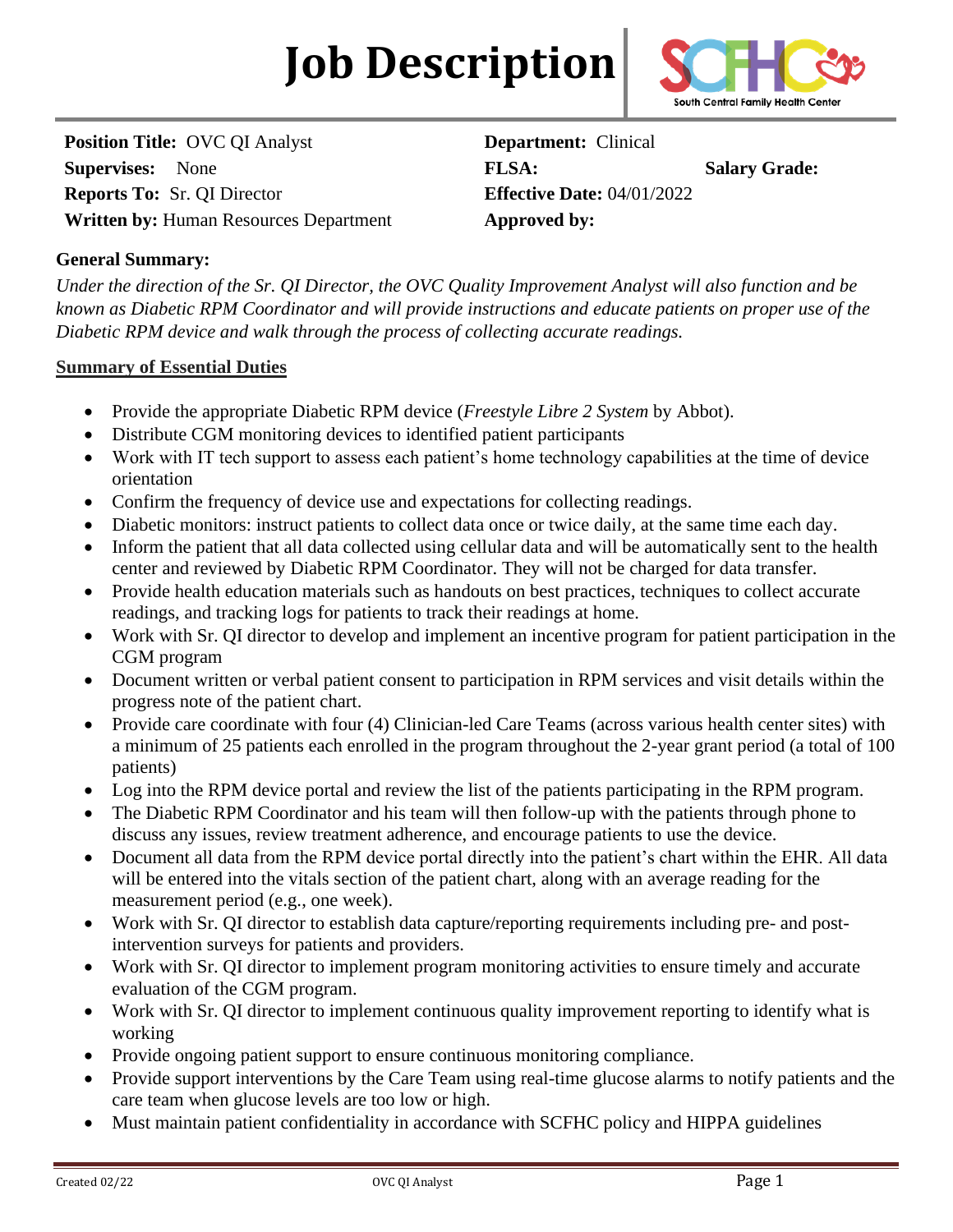# **Job Description**



**Position Title: OVC QI Analyst <b>Department:** Clinical **Supervises:** None **FLSA: Salary Grade: Reports To:** Sr. QI Director **Effective Date:** 04/01/2022 **Written by:** Human Resources Department **Approved by:** 

### **General Summary:**

*Under the direction of the Sr. QI Director, the OVC Quality Improvement Analyst will also function and be known as Diabetic RPM Coordinator and will provide instructions and educate patients on proper use of the Diabetic RPM device and walk through the process of collecting accurate readings.* 

#### **Summary of Essential Duties**

- Provide the appropriate Diabetic RPM device (*Freestyle Libre 2 System* by Abbot).
- Distribute CGM monitoring devices to identified patient participants
- Work with IT tech support to assess each patient's home technology capabilities at the time of device orientation
- Confirm the frequency of device use and expectations for collecting readings.
- Diabetic monitors: instruct patients to collect data once or twice daily, at the same time each day.
- Inform the patient that all data collected using cellular data and will be automatically sent to the health center and reviewed by Diabetic RPM Coordinator. They will not be charged for data transfer.
- Provide health education materials such as handouts on best practices, techniques to collect accurate readings, and tracking logs for patients to track their readings at home.
- Work with Sr. QI director to develop and implement an incentive program for patient participation in the CGM program
- Document written or verbal patient consent to participation in RPM services and visit details within the progress note of the patient chart.
- Provide care coordinate with four (4) Clinician-led Care Teams (across various health center sites) with a minimum of 25 patients each enrolled in the program throughout the 2-year grant period (a total of 100 patients)
- Log into the RPM device portal and review the list of the patients participating in the RPM program.
- The Diabetic RPM Coordinator and his team will then follow-up with the patients through phone to discuss any issues, review treatment adherence, and encourage patients to use the device.
- Document all data from the RPM device portal directly into the patient's chart within the EHR. All data will be entered into the vitals section of the patient chart, along with an average reading for the measurement period (e.g., one week).
- Work with Sr. QI director to establish data capture/reporting requirements including pre- and postintervention surveys for patients and providers.
- Work with Sr. QI director to implement program monitoring activities to ensure timely and accurate evaluation of the CGM program.
- Work with Sr. QI director to implement continuous quality improvement reporting to identify what is working
- Provide ongoing patient support to ensure continuous monitoring compliance.
- Provide support interventions by the Care Team using real-time glucose alarms to notify patients and the care team when glucose levels are too low or high.
- Must maintain patient confidentiality in accordance with SCFHC policy and HIPPA guidelines